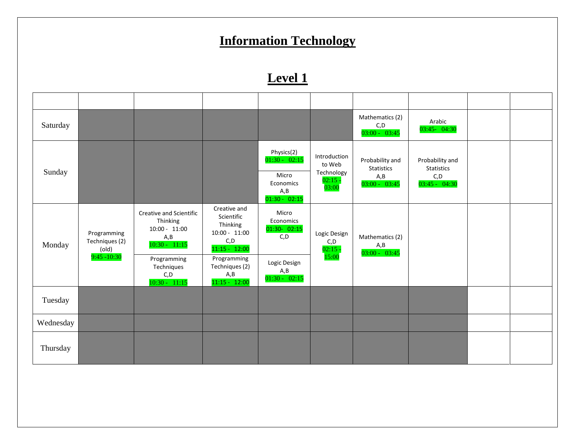# **Information Technology**

### **Level 1**

| Saturday  |                                                          |                                                                                                 |                                                                                                     |                                                                                |                                                        | Mathematics (2)<br>C, D<br>$03:00 - 03:45$                      | Arabic<br>03:45- 04:30                                   |  |
|-----------|----------------------------------------------------------|-------------------------------------------------------------------------------------------------|-----------------------------------------------------------------------------------------------------|--------------------------------------------------------------------------------|--------------------------------------------------------|-----------------------------------------------------------------|----------------------------------------------------------|--|
| Sunday    |                                                          |                                                                                                 |                                                                                                     | Physics(2)<br>$01:30 - 02:15$<br>Micro<br>Economics<br>A, B<br>$01:30 - 02:15$ | Introduction<br>to Web<br>Technology<br>02:15<br>03:00 | Probability and<br><b>Statistics</b><br>A, B<br>$03:00 - 03:45$ | Probability and<br>Statistics<br>C, D<br>$03:45 - 04:30$ |  |
| Monday    | Programming<br>Techniques (2)<br>(old)<br>$9:45 - 10:30$ | Creative and Scientific<br>Thinking<br>$10:00 - 11:00$<br>A,B<br>$10:30 - 11:15$<br>Programming | Creative and<br>Scientific<br>Thinking<br>$10:00 - 11:00$<br>C, D<br>$11:15 - 12:00$<br>Programming | Micro<br>Economics<br>01:30- 02:15<br>C, D                                     | Logic Design<br>C, D<br>$02:15 -$<br>15:00             | Mathematics (2)<br>A, B<br>$03:00 - 03:45$                      |                                                          |  |
|           |                                                          | Techniques<br>C, D<br>$10:30 - 11:15$                                                           | Techniques (2)<br>A,B<br>$11:15 - 12:00$                                                            | Logic Design<br>A, B<br>$01:30 - 02:15$                                        |                                                        |                                                                 |                                                          |  |
| Tuesday   |                                                          |                                                                                                 |                                                                                                     |                                                                                |                                                        |                                                                 |                                                          |  |
| Wednesday |                                                          |                                                                                                 |                                                                                                     |                                                                                |                                                        |                                                                 |                                                          |  |
| Thursday  |                                                          |                                                                                                 |                                                                                                     |                                                                                |                                                        |                                                                 |                                                          |  |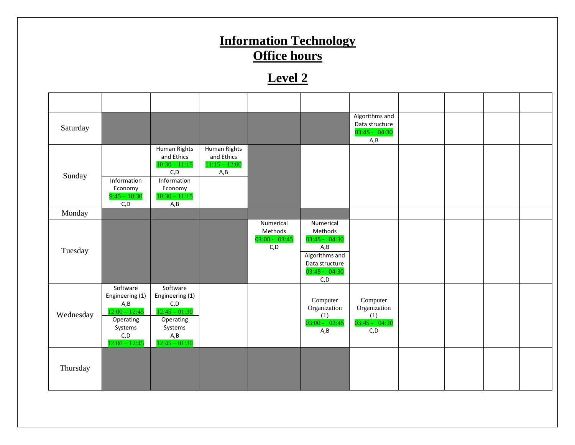#### **Information Technology Office hours Level 2** Saturday Algorithms and Data structure 03:45 - 04:30  $A, B$ Sunday Human Rights and Ethics  $10:30 - 11:15$  $C.D$ Human Rights and Ethics 11:15 – 12:00 A,B Information Economy  $9:45 - 10:30$  $C.D$ Information Economy 10:30 – 11:15 A,B Monday Tuesday Numerical Methods 03:00 - 03:45 C,D Numerical Methods 03:45 - 04:30 A,B Algorithms and Data structure 03:45 - 04:30 C,D Wednesday Software Engineering (1) A,B 12:00 – 12:45 **Software** Engineering (1) C,D  $12:45 - 01:30$ Computer Organization (1) 03:00 - 03:45 A,B Computer Organization (1) 03:45 - 04:30 C,D Operating Systems C,D  $12:00 - 12:45$ Operating Systems A,B  $12:45 - 01:30$ Thursday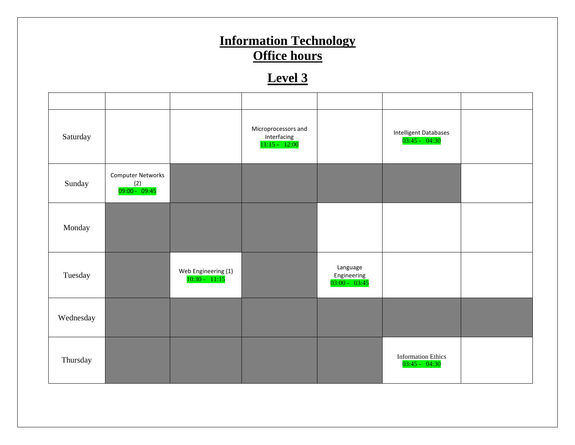